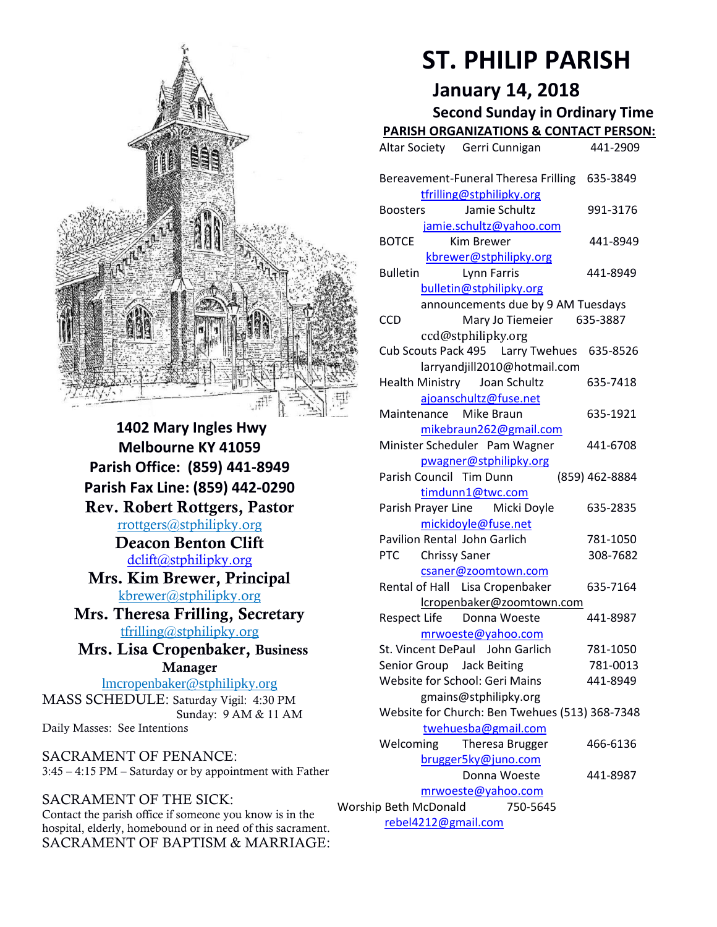

**1402 Mary Ingles Hwy Melbourne KY 41059 Parish Office: (859) 441-8949 Parish Fax Line: (859) 442-0290 Rev. Robert Rottgers, Pastor**  [rrottgers@stphilipky.org](mailto:rrottgers@stphilipky.org) **Deacon Benton Clift**  [dclift@stphilipky.org](mailto:dclift@stphilipky.org) **Mrs. Kim Brewer, Principal**  [kbrewer@stphilipky.org](mailto:kbrewer@stphilipky.org) **Mrs. Theresa Frilling, Secretary**  [tfrilling@stphilipky.org](mailto:tfrilling@stphilipky.org) **Mrs. Lisa Cropenbaker, Business Manager**  lmcropenbaker@stphilipky.org MASS SCHEDULE: Saturday Vigil: 4:30 PM Sunday: 9 AM & 11 AM

SACRAMENT OF PENANCE: 3:45 – 4:15 PM – Saturday or by appointment with Father

## SACRAMENT OF THE SICK:

Daily Masses: See Intentions

Contact the parish office if someone you know is in the hospital, elderly, homebound or in need of this sacrament. SACRAMENT OF BAPTISM & MARRIAGE:

# **ST. PHILIP PARISH**

# **January 14, 2018**

**Second Sunday in Ordinary Time PARISH ORGANIZATIONS & CONTACT PERSON:**

|                                                                       | <u>FANDITUNUAN</u><br><u>IILATIUI IS QUITTAUT FLIJUI</u>                  |                |
|-----------------------------------------------------------------------|---------------------------------------------------------------------------|----------------|
|                                                                       | Altar Society Gerri Cunnigan                                              | 441-2909       |
|                                                                       | Bereavement-Funeral Theresa Frilling 635-3849<br>tfrilling@stphilipky.org |                |
|                                                                       | Jamie Schultz<br><b>Boosters</b>                                          | 991-3176       |
|                                                                       |                                                                           |                |
|                                                                       |                                                                           |                |
|                                                                       | <b>BOTCE</b><br>Kim Brewer                                                | 441-8949       |
|                                                                       | kbrewer@stphilipky.org                                                    |                |
|                                                                       | <b>Bulletin</b><br>Lynn Farris                                            | 441-8949       |
|                                                                       | bulletin@stphilipky.org                                                   |                |
|                                                                       | announcements due by 9 AM Tuesdays                                        |                |
|                                                                       | <b>CCD</b><br>Mary Jo Tiemeier                                            | 635-3887       |
|                                                                       | ccd@stphilipky.org                                                        |                |
|                                                                       | Cub Scouts Pack 495   Larry Twehues                                       | 635-8526       |
|                                                                       | larryandjill2010@hotmail.com                                              |                |
|                                                                       | Health Ministry Joan Schultz                                              | 635-7418       |
|                                                                       | ajoanschultz@fuse.net                                                     |                |
|                                                                       | Mike Braun<br>Maintenance                                                 | 635-1921       |
|                                                                       | mikebraun262@gmail.com                                                    |                |
|                                                                       | Minister Scheduler Pam Wagner                                             | 441-6708       |
|                                                                       | pwagner@stphilipky.org                                                    |                |
|                                                                       | Parish Council Tim Dunn                                                   | (859) 462-8884 |
|                                                                       |                                                                           |                |
|                                                                       | timdunn1@twc.com<br>Parish Prayer Line Micki Doyle                        | 635-2835       |
|                                                                       | mickidoyle@fuse.net                                                       |                |
|                                                                       | Pavilion Rental John Garlich                                              | 781-1050       |
|                                                                       | <b>PTC</b><br><b>Chrissy Saner</b>                                        | 308-7682       |
|                                                                       | csaner@zoomtown.com                                                       |                |
|                                                                       | Rental of Hall Lisa Cropenbaker                                           | 635-7164       |
|                                                                       | lcropenbaker@zoomtown.com                                                 |                |
|                                                                       | <b>Respect Life</b><br>Donna Woeste                                       | 441-8987       |
|                                                                       | mrwoeste@yahoo.com                                                        |                |
|                                                                       | St. Vincent DePaul John Garlich                                           | 781-1050       |
|                                                                       | Senior Group Jack Beiting                                                 | 781-0013       |
|                                                                       | Website for School: Geri Mains                                            | 441-8949       |
|                                                                       | gmains@stphilipky.org                                                     |                |
|                                                                       |                                                                           |                |
| Website for Church: Ben Twehues (513) 368-7348<br>twehuesba@gmail.com |                                                                           |                |
|                                                                       | Welcoming                                                                 | 466-6136       |
|                                                                       | Theresa Brugger                                                           |                |
|                                                                       | brugger5ky@juno.com                                                       |                |
|                                                                       | Donna Woeste                                                              | 441-8987       |
| mrwoeste@yahoo.com                                                    |                                                                           |                |
| Worship Beth McDonald<br>750-5645                                     |                                                                           |                |
| rebel4212@gmail.com                                                   |                                                                           |                |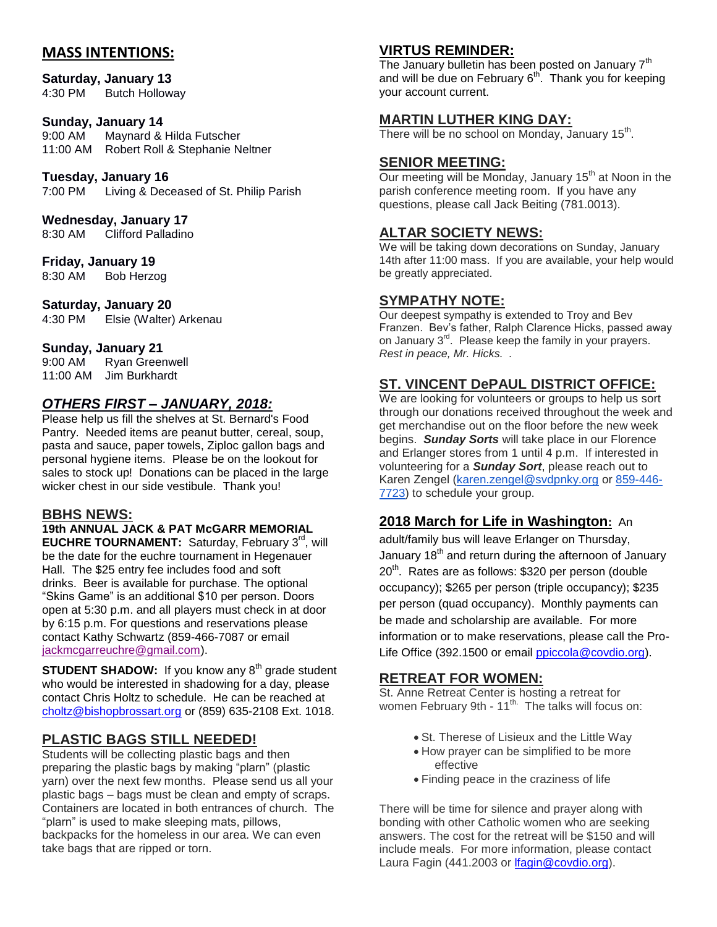## **MASS INTENTIONS:**

## **Saturday, January 13**

4:30 PM Butch Holloway

#### **Sunday, January 14**

9:00 AM Maynard & Hilda Futscher 11:00 AM Robert Roll & Stephanie Neltner

#### **Tuesday, January 16**

7:00 PM Living & Deceased of St. Philip Parish

#### **Wednesday, January 17**

8:30 AM Clifford Palladino

#### **Friday, January 19**

8:30 AM Bob Herzog

#### **Saturday, January 20**

4:30 PM Elsie (Walter) Arkenau

#### **Sunday, January 21**

9:00 AM Ryan Greenwell 11:00 AM Jim Burkhardt

## *OTHERS FIRST – JANUARY, 2018:*

Please help us fill the shelves at St. Bernard's Food Pantry. Needed items are peanut butter, cereal, soup, pasta and sauce, paper towels, Ziploc gallon bags and personal hygiene items. Please be on the lookout for sales to stock up! Donations can be placed in the large wicker chest in our side vestibule. Thank you!

#### **BBHS NEWS:**

# **19th ANNUAL JACK & PAT McGARR MEMORIAL**

**EUCHRE TOURNAMENT:** Saturday, February 3<sup>rd</sup>, will be the date for the euchre tournament in Hegenauer Hall. The \$25 entry fee includes food and soft drinks. Beer is available for purchase. The optional "Skins Game" is an additional \$10 per person. Doors open at 5:30 p.m. and all players must check in at door by 6:15 p.m. For questions and reservations please contact Kathy Schwartz (859-466-7087 or email [jackmcgarreuchre@gmail.com\)](mailto:jackmcgarreuchre@gmail.com).

**STUDENT SHADOW:** If you know any 8<sup>th</sup> grade student who would be interested in shadowing for a day, please contact Chris Holtz to schedule. He can be reached at [choltz@bishopbrossart.org](mailto:choltz@bishopbrossart.org) or (859) 635-2108 Ext. 1018.

## **PLASTIC BAGS STILL NEEDED!**

Students will be collecting plastic bags and then preparing the plastic bags by making "plarn" (plastic yarn) over the next few months. Please send us all your plastic bags – bags must be clean and empty of scraps. Containers are located in both entrances of church. The "plarn" is used to make sleeping mats, pillows, backpacks for the homeless in our area. We can even take bags that are ripped or torn.

## **VIRTUS REMINDER:**

The January bulletin has been posted on January  $7<sup>th</sup>$ and will be due on February 6<sup>th</sup>. Thank you for keeping your account current.

## **MARTIN LUTHER KING DAY:**

There will be no school on Monday, January 15<sup>th</sup>.

#### **SENIOR MEETING:**

Our meeting will be Monday, January 15<sup>th</sup> at Noon in the parish conference meeting room. If you have any questions, please call Jack Beiting (781.0013).

## **ALTAR SOCIETY NEWS:**

We will be taking down decorations on Sunday, January 14th after 11:00 mass. If you are available, your help would be greatly appreciated.

#### **SYMPATHY NOTE:**

Our deepest sympathy is extended to Troy and Bev Franzen. Bev's father, Ralph Clarence Hicks, passed away on January 3<sup>rd</sup>. Please keep the family in your prayers. *Rest in peace, Mr. Hicks. .*

## **ST. VINCENT DePAUL DISTRICT OFFICE:**

We are looking for volunteers or groups to help us sort through our donations received throughout the week and get merchandise out on the floor before the new week begins. *Sunday Sorts* will take place in our Florence and Erlanger stores from 1 until 4 p.m. If interested in volunteering for a *Sunday Sort*, please reach out to Karen Zengel [\(karen.zengel@svdpnky.org](mailto:karen.zengel@svdpnky.org) or [859-446-](tel:(859)%20446-7723) [7723\)](tel:(859)%20446-7723) to schedule your group.

## **2018 March for Life in Washington:** An

adult/family bus will leave Erlanger on Thursday, January 18<sup>th</sup> and return during the afternoon of January 20<sup>th</sup>. Rates are as follows: \$320 per person (double occupancy); \$265 per person (triple occupancy); \$235 per person (quad occupancy). Monthly payments can be made and scholarship are available. For more information or to make reservations, please call the ProLife Office (392.1500 or email [ppiccola@covdio.org\)](mailto:ppiccola@covdio.org).

## **RETREAT FOR WOMEN:**

St. Anne Retreat Center is hosting a retreat for women February 9th -  $11^{th}$ . The talks will focus on:

- St. Therese of Lisieux and the Little Way
- How prayer can be simplified to be more effective
- Finding peace in the craziness of life

There will be time for silence and prayer along with bonding with other Catholic women who are seeking answers. The cost for the retreat will be \$150 and will include meals. For more information, please contact Laura Fagin (441.2003 or [lfagin@covdio.org\)](mailto:lfagin@covdio.org).